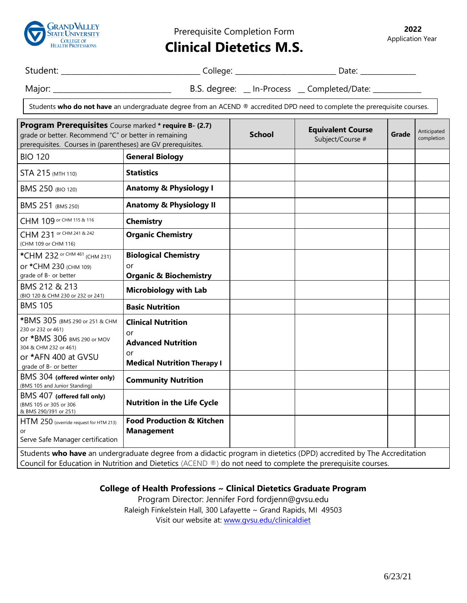

Prerequisite Completion Form

**2022** Application Year

## **Clinical Dietetics M.S.**

Student: \_\_\_\_\_\_\_\_\_\_\_\_\_\_\_\_\_\_\_\_\_\_\_\_\_\_\_\_\_\_\_\_\_\_\_\_\_\_\_\_ College: \_\_\_\_\_\_\_\_\_\_\_\_\_\_\_\_\_\_\_\_\_\_\_\_\_\_\_\_\_ Date: \_\_\_\_\_\_\_\_\_\_\_\_\_\_\_\_

Major: \_\_\_\_\_\_\_\_\_\_\_\_\_\_\_\_\_\_\_\_\_\_\_\_\_\_\_\_\_\_\_\_\_\_ B.S. degree: \_\_ In-Process \_\_ Completed/Date: \_\_\_\_\_\_\_\_\_\_\_\_\_\_

Students **who do not have** an undergraduate degree from an ACEND ® accredited DPD need to complete the prerequisite courses.

| Program Prerequisites Course marked * require B- (2.7)<br>grade or better. Recommend "C" or better in remaining<br>prerequisites. Courses in (parentheses) are GV prerequisites. |                                                                                                          | <b>School</b> | <b>Equivalent Course</b><br>Subject/Course # | Grade | Anticipated<br>completion |
|----------------------------------------------------------------------------------------------------------------------------------------------------------------------------------|----------------------------------------------------------------------------------------------------------|---------------|----------------------------------------------|-------|---------------------------|
| <b>BIO 120</b>                                                                                                                                                                   | <b>General Biology</b>                                                                                   |               |                                              |       |                           |
| STA 215 (MTH 110)                                                                                                                                                                | <b>Statistics</b>                                                                                        |               |                                              |       |                           |
| BMS 250 (BIO 120)                                                                                                                                                                | <b>Anatomy &amp; Physiology I</b>                                                                        |               |                                              |       |                           |
| BMS 251 (BMS 250)                                                                                                                                                                | <b>Anatomy &amp; Physiology II</b>                                                                       |               |                                              |       |                           |
| CHM 109 or CHM 115 & 116                                                                                                                                                         | <b>Chemistry</b>                                                                                         |               |                                              |       |                           |
| CHM 231 or CHM 241 & 242<br>(CHM 109 or CHM 116)                                                                                                                                 | <b>Organic Chemistry</b>                                                                                 |               |                                              |       |                           |
| *CHM 232 or CHM 461 (CHM 231)<br>ог *СНМ 230 (СНМ 109)<br>grade of B- or better<br>BMS 212 & 213                                                                                 | <b>Biological Chemistry</b><br>or<br><b>Organic &amp; Biochemistry</b><br><b>Microbiology with Lab</b>   |               |                                              |       |                           |
| (BIO 120 & CHM 230 or 232 or 241)<br><b>BMS 105</b>                                                                                                                              | <b>Basic Nutrition</b>                                                                                   |               |                                              |       |                           |
| *BMS 305 (BMS 290 or 251 & CHM<br>230 or 232 or 461)<br>Or *BMS 306 BMS 290 or MOV<br>304 & CHM 232 or 461)<br>or *AFN 400 at GVSU<br>grade of B- or better                      | <b>Clinical Nutrition</b><br>or<br><b>Advanced Nutrition</b><br>or<br><b>Medical Nutrition Therapy I</b> |               |                                              |       |                           |
| BMS 304 (offered winter only)<br>(BMS 105 and Junior Standing)                                                                                                                   | <b>Community Nutrition</b>                                                                               |               |                                              |       |                           |
| BMS 407 (offered fall only)<br>(BMS 105 or 305 or 306<br>& BMS 290/391 or 251)                                                                                                   | <b>Nutrition in the Life Cycle</b>                                                                       |               |                                              |       |                           |
| HTM 250 (override request for HTM 213)<br>Serve Safe Manager certification                                                                                                       | <b>Food Production &amp; Kitchen</b><br><b>Management</b>                                                |               |                                              |       |                           |
| Students who have an undergraduate degree from a didactic program in dietetics (DPD) accredited by The Accreditation                                                             |                                                                                                          |               |                                              |       |                           |

Council for Education in Nutrition and Dietetics (ACEND ®) do not need to complete the prerequisite courses.

## **College of Health Professions ~ Clinical Dietetics Graduate Program**

Program Director: Jennifer Ford fordjenn@gvsu.edu Raleigh Finkelstein Hall, 300 Lafayette ~ Grand Rapids, MI 49503 Visit our website at: [www.gvsu.edu/clinicaldiet](http://www.gvsu.edu/clinicaldiet)